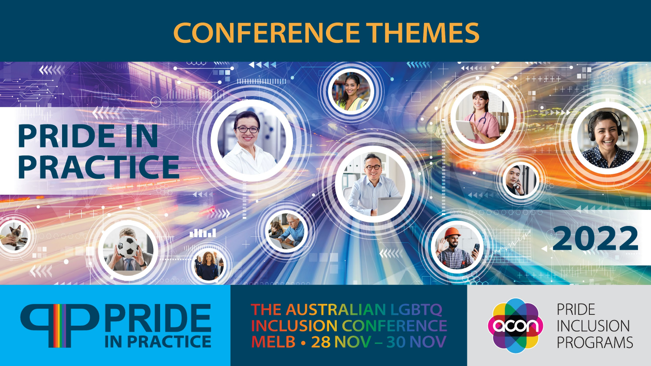### PRIDE-IN PRACTICE

 $\left\langle \left\langle \left\langle \left\langle \right\rangle \right\rangle \right\rangle \right\rangle$ 

### **GIPPRIDE**

**THE AUSTRALIAN LGBTQ INCLUSION CONFERENCE MELB • 28 NOV - 30 NOV** 



**PRIDE INCLUSION PROGRAMS** 

2022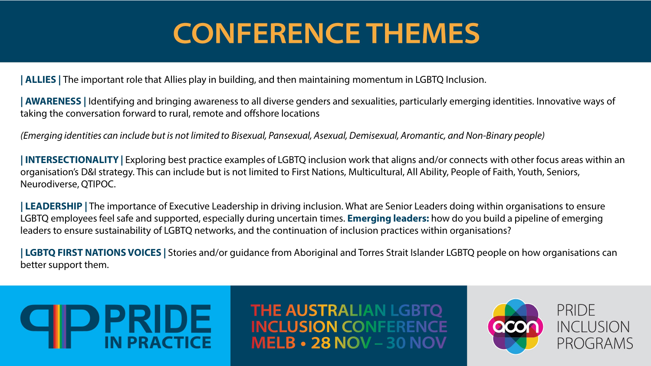**| ALLIES |** The important role that Allies play in building, and then maintaining momentum in LGBTQ Inclusion.

**| AWARENESS |** Identifying and bringing awareness to all diverse genders and sexualities, particularly emerging identities. Innovative ways of taking the conversation forward to rural, remote and offshore locations

*(Emerging identities can include but is not limited to Bisexual, Pansexual, Asexual, Demisexual, Aromantic, and Non-Binary people)*

**| INTERSECTIONALITY |** Exploring best practice examples of LGBTQ inclusion work that aligns and/or connects with other focus areas within an organisation's D&I strategy. This can include but is not limited to First Nations, Multicultural, All Ability, People of Faith, Youth, Seniors, Neurodiverse, QTIPOC.

**| LEADERSHIP |** The importance of Executive Leadership in driving inclusion. What are Senior Leaders doing within organisations to ensure LGBTQ employees feel safe and supported, especially during uncertain times. **Emerging leaders:** how do you build a pipeline of emerging leaders to ensure sustainability of LGBTQ networks, and the continuation of inclusion practices within organisations?

**| LGBTQ FIRST NATIONS VOICES |** Stories and/or guidance from Aboriginal and Torres Strait Islander LGBTQ people on how organisations can better support them.

## **DPRIDE**

**THE AUSTRALIAN LGBTQ INCLUSION CONFERENCE MELB • 28 NOV – 30 NOV** 

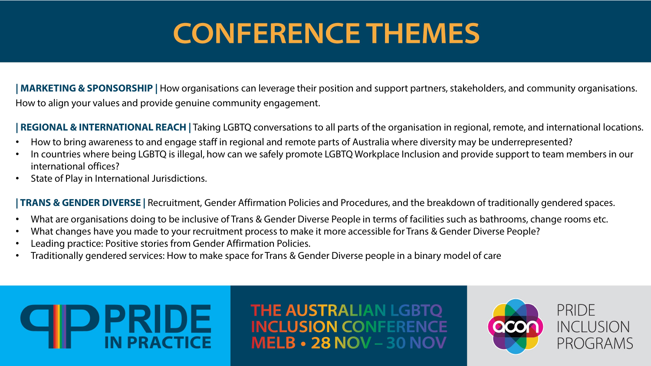**| MARKETING & SPONSORSHIP |** How organisations can leverage their position and support partners, stakeholders, and community organisations. How to align your values and provide genuine community engagement.

**| REGIONAL & INTERNATIONAL REACH |** Taking LGBTQ conversations to all parts of the organisation in regional, remote, and international locations.

- How to bring awareness to and engage staff in regional and remote parts of Australia where diversity may be underrepresented?
- In countries where being LGBTQ is illegal, how can we safely promote LGBTQ Workplace Inclusion and provide support to team members in our international offices?
- State of Play in International Jurisdictions.

**| TRANS & GENDER DIVERSE |** Recruitment, Gender Affirmation Policies and Procedures, and the breakdown of traditionally gendered spaces.

- What are organisations doing to be inclusive of Trans & Gender Diverse People in terms of facilities such as bathrooms, change rooms etc.
- What changes have you made to your recruitment process to make it more accessible for Trans & Gender Diverse People?
- Leading practice: Positive stories from Gender Affirmation Policies.
- Traditionally gendered services: How to make space for Trans & Gender Diverse people in a binary model of care

# **PRIDE**

**THE AUSTRALIAN LGBTQ INCLUSION CONFERENCE MELB • 28 NOV - 30 NOV**